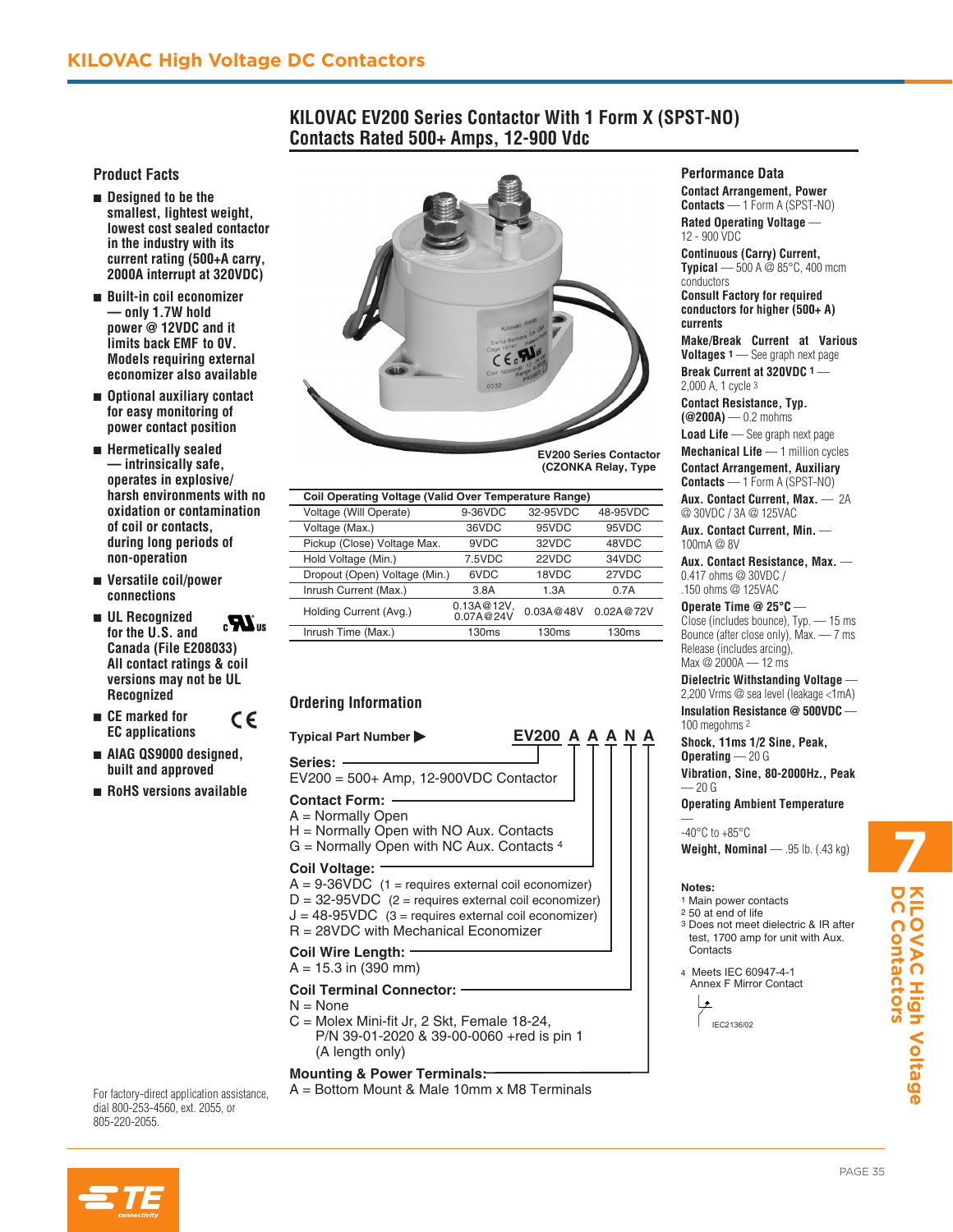## **KILOVAC EV200 Series Contactor With 1 Form X (SPST-NO) Contacts Rated 500+ Amps, 12-900 Vdc**

### **Product Facts**

- Designed to be the **smallest, lightest weight, lowest cost sealed contactor in the industry with its current rating (500+A carry, 2000A interrupt at 320VDC)**
- n **Built-in coil economizer — only 1.7W hold power @ 12VDC and it limits back EMF to 0V. Models requiring external economizer also available**
- Optional auxiliary contact **for easy monitoring of power contact position**
- n **Hermetically sealed — intrinsically safe, operates in explosive/ harsh environments with no oxidation or contamination of coil or contacts, during long periods of non-operation**
- n **Versatile coil/power connections**
- n **UL Recognized**   $\mathbf{z}$ **for the U.S. and Canada (File E208033) All contact ratings & coil versions may not be UL Recognized**

 $\epsilon$ 

- n **CE marked for EC applications**
- n **AIAG QS9000 designed, built and approved**
- n **RoHS versions available**



**EV200 Series Contactor (CZONKA Relay, Type** 

| <b>Coil Operating Voltage (Valid Over Temperature Range)</b> |                            |           |                   |
|--------------------------------------------------------------|----------------------------|-----------|-------------------|
| Voltage (Will Operate)                                       | 9-36VDC                    | 32-95VDC  | 48-95VDC          |
| Voltage (Max.)                                               | 36VDC                      | 95VDC     | 95VDC             |
| Pickup (Close) Voltage Max.                                  | 9VDC                       | 32VDC     | 48VDC             |
| Hold Voltage (Min.)                                          | 7.5VDC                     | 22VDC     | 34VDC             |
| Dropout (Open) Voltage (Min.)                                | 6VDC                       | 18VDC     | 27VDC             |
| Inrush Current (Max.)                                        | 3.8A                       | 1.3A      | 0.7A              |
| Holding Current (Avg.)                                       | $0.13A@12V$ ,<br>0.07A@24V | 0.03A@48V | 0.02A@72V         |
| Inrush Time (Max.)                                           | 130ms                      | 130ms     | 130 <sub>ms</sub> |

### **Ordering Information**

# **Typical Part Number EV200 A A A N A**

**Series:**  EV200 = 500+ Amp, 12-900VDC Contactor

### **Contact Form:**

A = Normally Open H = Normally Open with NO Aux. Contacts

 $G =$  Normally Open with NC Aux. Contacts  $4$ 

### **Coil Voltage:**

 $A = 9-36VDC$  (1 = requires external coil economizer)  $D = 32-95VDC$  (2 = requires external coil economizer)  $J = 48-95VDC$  (3 = requires external coil economizer) R = 28VDC with Mechanical Economizer

**Coil Wire Length:** 

### $A = 15.3$  in (390 mm)

### **Coil Terminal Connector:**

- $N = None$
- C = Molex Mini-fit Jr, 2 Skt, Female 18-24, P/N 39-01-2020 & 39-00-0060 +red is pin 1 (A length only)

### **Mounting & Power Terminals:**

For factory-direct application assistance,  $A = Bottom$  Mount & Male 10mm x M8 Terminals

dial 800-253-4560, ext. 2055, or 805-220-2055.

# **7**

4 Meets IEC 60947-4-1 Annex F Mirror Contact

> ما IEC2136/02



### **Performance Data**

**Contact Arrangement, Power Contacts** — 1 Form A (SPST-NO)

**Rated Operating Voltage** — 12 - 900 VDC

**Continuous (Carry) Current, Typical** — 500 A  $\ddot{\omega}$  85°C, 400 mcm conductors

**Consult Factory for required conductors for higher (500+ A) currents**

**Make/Break Current at Various Voltages 1** — See graph next page

**Break Current at 320VDC 1** — 2,000 A, 1 cycle 3

**Contact Resistance, Typ. (@200A)** — 0.2 mohms

**Load Life** — See graph next page

**Mechanical Life** — 1 million cycles

**Contact Arrangement, Auxiliary Contacts** — 1 Form A (SPST-NO)

**Aux. Contact Current, Max.** — 2A @ 30VDC / 3A @ 125VAC

**Aux. Contact Current, Min.** — 100mA @ 8V

**Aux. Contact Resistance, Max.** — 0.417 ohms @ 30VDC / .150 ohms @ 125VAC

### **Operate Time @ 25°C** —

Close (includes bounce), Typ. — 15 ms Bounce (after close only), Max. — 7 ms Release (includes arcing), Max @ 2000A — 12 ms

### **Dielectric Withstanding Voltage** —

2,200 Vrms @ sea level (leakage <1mA) **Insulation Resistance @ 500VDC** — 100 megohms 2

**Shock, 11ms 1/2 Sine, Peak, Operating** — 20 G **Vibration, Sine, 80-2000Hz., Peak** 

— 20 G

**Operating Ambient Temperature**

— -40 $^{\circ}$ C to +85 $^{\circ}$ C

**Weight, Nominal** — .95 lb. (.43 kg)

### **Notes:**

- 1 Main power contacts
- 2 50 at end of life
- 3 Does not meet dielectric & IR after test, 1700 amp for unit with Aux. **Contacts**